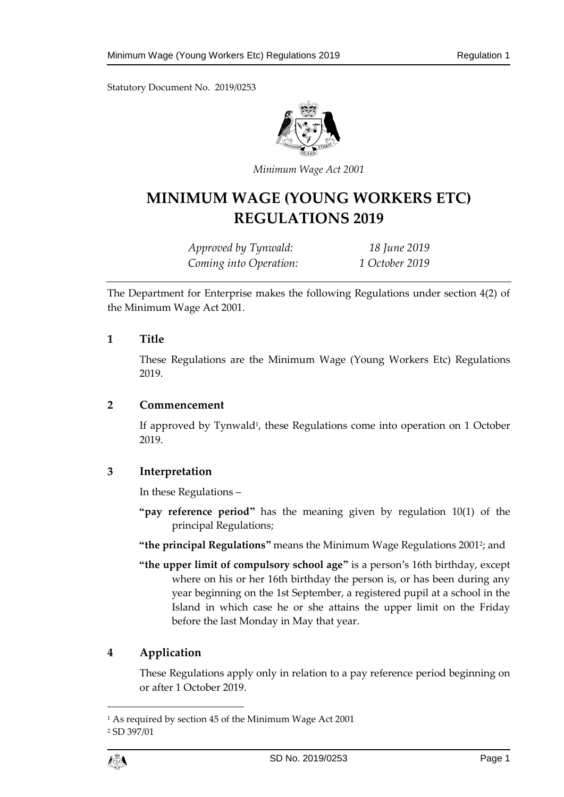Statutory Document No. 2019/0253



*Minimum Wage Act 2001*

# **MINIMUM WAGE (YOUNG WORKERS ETC) REGULATIONS 2019**

*Approved by Tynwald: 18 June 2019 Coming into Operation: 1 October 2019*

The Department for Enterprise makes the following Regulations under section 4(2) of the Minimum Wage Act 2001.

## **1 Title**

These Regulations are the Minimum Wage (Young Workers Etc) Regulations 2019.

#### **2 Commencement**

If approved by Tynwald<sup>1</sup>, these Regulations come into operation on 1 October 2019.

# **3 Interpretation**

In these Regulations –

**"pay reference period"** has the meaning given by regulation 10(1) of the principal Regulations;

**"the principal Regulations"** means the Minimum Wage Regulations 2001<sup>2</sup> ; and

**"the upper limit of compulsory school age"** is a person's 16th birthday, except where on his or her 16th birthday the person is, or has been during any year beginning on the 1st September, a registered pupil at a school in the Island in which case he or she attains the upper limit on the Friday before the last Monday in May that year.

## **4 Application**

These Regulations apply only in relation to a pay reference period beginning on or after 1 October 2019.

 $\overline{a}$ 

<sup>1</sup> As required by section 45 of the Minimum Wage Act 2001 <sup>2</sup> SD 397/01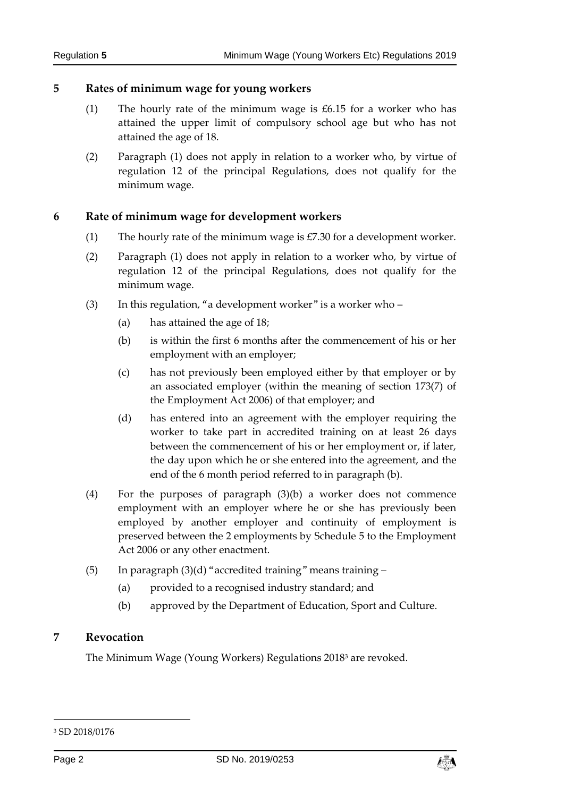## **5 Rates of minimum wage for young workers**

- (1) The hourly rate of the minimum wage is £6.15 for a worker who has attained the upper limit of compulsory school age but who has not attained the age of 18.
- (2) Paragraph (1) does not apply in relation to a worker who, by virtue of regulation 12 of the principal Regulations, does not qualify for the minimum wage.

## **6 Rate of minimum wage for development workers**

- (1) The hourly rate of the minimum wage is  $\text{\textsterling}7.30$  for a development worker.
- (2) Paragraph (1) does not apply in relation to a worker who, by virtue of regulation 12 of the principal Regulations, does not qualify for the minimum wage.
- (3) In this regulation, "a development worker" is a worker who
	- (a) has attained the age of 18;
	- (b) is within the first 6 months after the commencement of his or her employment with an employer;
	- (c) has not previously been employed either by that employer or by an associated employer (within the meaning of section 173(7) of the Employment Act 2006) of that employer; and
	- (d) has entered into an agreement with the employer requiring the worker to take part in accredited training on at least 26 days between the commencement of his or her employment or, if later, the day upon which he or she entered into the agreement, and the end of the 6 month period referred to in paragraph (b).
- (4) For the purposes of paragraph (3)(b) a worker does not commence employment with an employer where he or she has previously been employed by another employer and continuity of employment is preserved between the 2 employments by Schedule 5 to the Employment Act 2006 or any other enactment.
- (5) In paragraph  $(3)(d)$  "accredited training" means training  $-$ 
	- (a) provided to a recognised industry standard; and
	- (b) approved by the Department of Education, Sport and Culture.

## **7 Revocation**

The Minimum Wage (Young Workers) Regulations 2018<sup>3</sup> are revoked.

-



<sup>3</sup> SD 2018/0176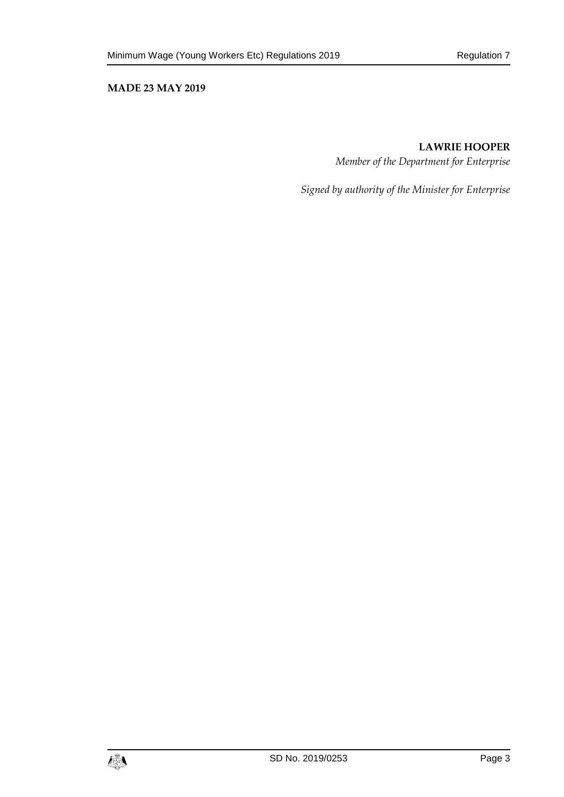#### **MADE 23 MAY 2019**

## **LAWRIE HOOPER**

*Member of the Department for Enterprise*

*Signed by authority of the Minister for Enterprise*